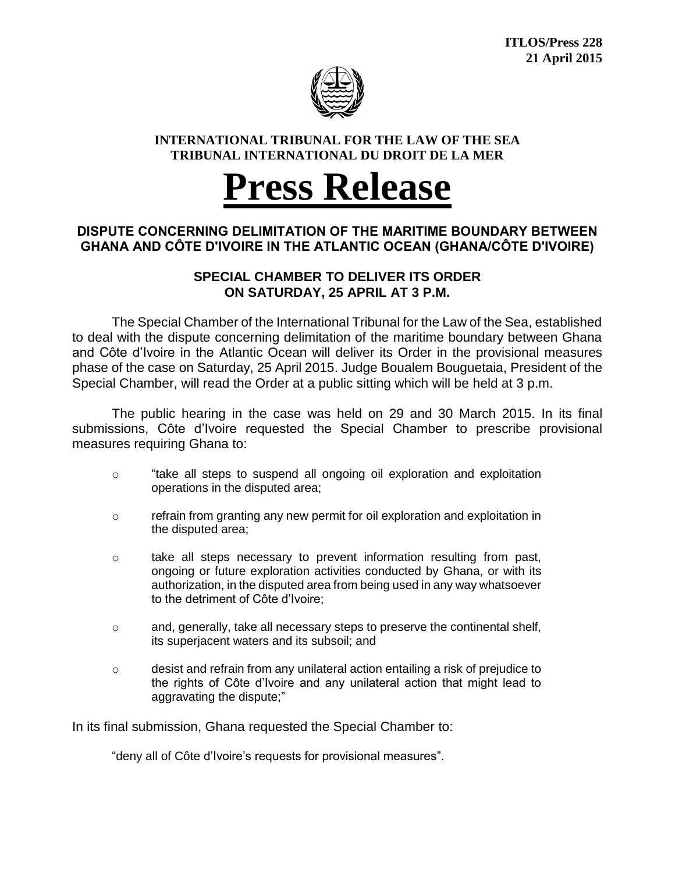

#### **INTERNATIONAL TRIBUNAL FOR THE LAW OF THE SEA TRIBUNAL INTERNATIONAL DU DROIT DE LA MER**

# **Press Release**

## **DISPUTE CONCERNING DELIMITATION OF THE MARITIME BOUNDARY BETWEEN GHANA AND CÔTE D'IVOIRE IN THE ATLANTIC OCEAN (GHANA/CÔTE D'IVOIRE)**

### **SPECIAL CHAMBER TO DELIVER ITS ORDER ON SATURDAY, 25 APRIL AT 3 P.M.**

The Special Chamber of the International Tribunal for the Law of the Sea, established to deal with the dispute concerning delimitation of the maritime boundary between Ghana and Côte d'Ivoire in the Atlantic Ocean will deliver its Order in the provisional measures phase of the case on Saturday, 25 April 2015. Judge Boualem Bouguetaia, President of the Special Chamber, will read the Order at a public sitting which will be held at 3 p.m.

The public hearing in the case was held on 29 and 30 March 2015. In its final submissions, Côte d'Ivoire requested the Special Chamber to prescribe provisional measures requiring Ghana to:

- o "take all steps to suspend all ongoing oil exploration and exploitation operations in the disputed area;
- $\circ$  refrain from granting any new permit for oil exploration and exploitation in the disputed area;
- $\circ$  take all steps necessary to prevent information resulting from past, ongoing or future exploration activities conducted by Ghana, or with its authorization, in the disputed area from being used in any way whatsoever to the detriment of Côte d'Ivoire;
- $\circ$  and, generally, take all necessary steps to preserve the continental shelf, its superjacent waters and its subsoil; and
- $\circ$  desist and refrain from any unilateral action entailing a risk of prejudice to the rights of Côte d'Ivoire and any unilateral action that might lead to aggravating the dispute;"

In its final submission, Ghana requested the Special Chamber to:

"deny all of Côte d'Ivoire's requests for provisional measures".